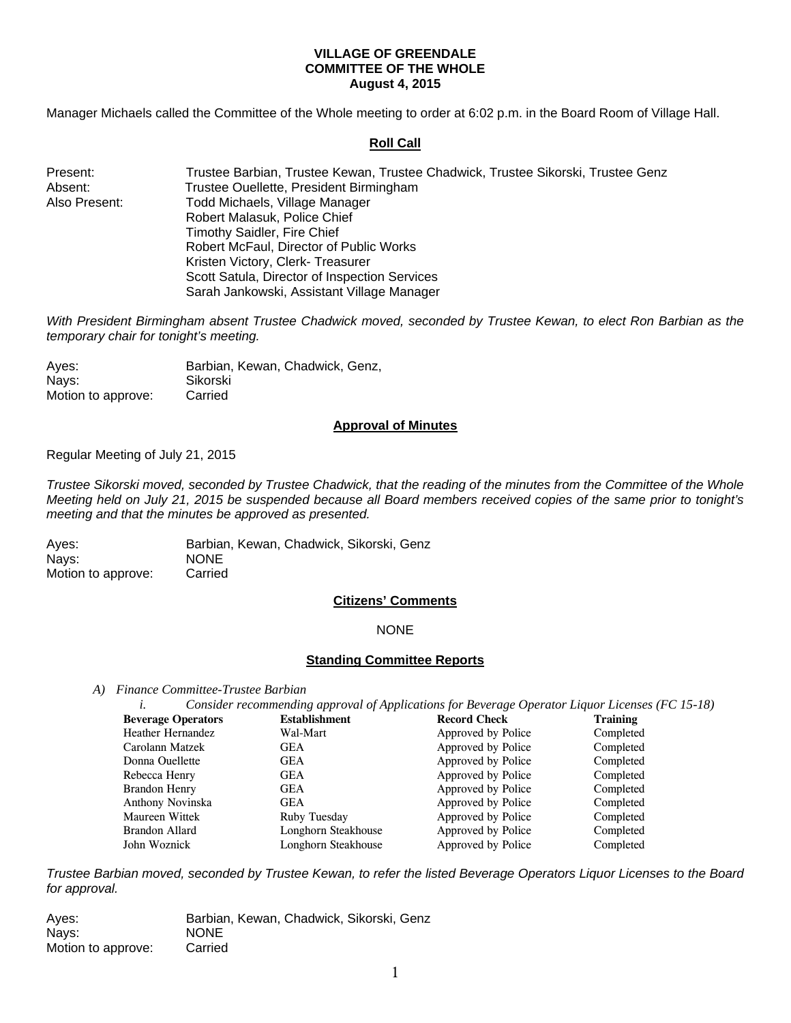### **VILLAGE OF GREENDALE COMMITTEE OF THE WHOLE August 4, 2015**

Manager Michaels called the Committee of the Whole meeting to order at 6:02 p.m. in the Board Room of Village Hall.

### **Roll Call**

| Present:      | Trustee Barbian, Trustee Kewan, Trustee Chadwick, Trustee Sikorski, Trustee Genz |
|---------------|----------------------------------------------------------------------------------|
| Absent:       | Trustee Ouellette, President Birmingham                                          |
| Also Present: | Todd Michaels, Village Manager                                                   |
|               | Robert Malasuk, Police Chief                                                     |
|               | Timothy Saidler, Fire Chief                                                      |
|               | Robert McFaul, Director of Public Works                                          |
|               | Kristen Victory, Clerk-Treasurer                                                 |
|               | Scott Satula, Director of Inspection Services                                    |
|               | Sarah Jankowski, Assistant Village Manager                                       |

*With President Birmingham absent Trustee Chadwick moved, seconded by Trustee Kewan, to elect Ron Barbian as the temporary chair for tonight's meeting.* 

| Aves:              | Barbian, Kewan, Chadwick, Genz, |
|--------------------|---------------------------------|
| Nays:              | Sikorski                        |
| Motion to approve: | Carried                         |

#### **Approval of Minutes**

Regular Meeting of July 21, 2015

*Trustee Sikorski moved, seconded by Trustee Chadwick, that the reading of the minutes from the Committee of the Whole Meeting held on July 21, 2015 be suspended because all Board members received copies of the same prior to tonight's meeting and that the minutes be approved as presented.* 

Ayes: Barbian, Kewan, Chadwick, Sikorski, Genz Nays: NONE Motion to approve: Carried

#### **Citizens' Comments**

#### NONE

# **Standing Committee Reports**

*A) Finance Committee-Trustee Barbian* 

| i.                        | Consider recommending approval of Applications for Beverage Operator Liquor Licenses (FC 15-18) |                     |           |
|---------------------------|-------------------------------------------------------------------------------------------------|---------------------|-----------|
| <b>Beverage Operators</b> | <b>Establishment</b>                                                                            | <b>Record Check</b> | Training  |
| <b>Heather Hernandez</b>  | Wal-Mart                                                                                        | Approved by Police  | Completed |
| Carolann Matzek           | GEA                                                                                             | Approved by Police  | Completed |
| Donna Ouellette           | <b>GEA</b>                                                                                      | Approved by Police  | Completed |
| Rebecca Henry             | <b>GEA</b>                                                                                      | Approved by Police  | Completed |
| Brandon Henry             | <b>GEA</b>                                                                                      | Approved by Police  | Completed |
| Anthony Novinska          | <b>GEA</b>                                                                                      | Approved by Police  | Completed |
| <b>Maureen Wittek</b>     | Ruby Tuesday                                                                                    | Approved by Police  | Completed |
| Brandon Allard            | Longhorn Steakhouse                                                                             | Approved by Police  | Completed |
| John Woznick              | Longhorn Steakhouse                                                                             | Approved by Police  | Completed |

*Trustee Barbian moved, seconded by Trustee Kewan, to refer the listed Beverage Operators Liquor Licenses to the Board for approval.* 

Ayes: Barbian, Kewan, Chadwick, Sikorski, Genz Nays: NONE Motion to approve: Carried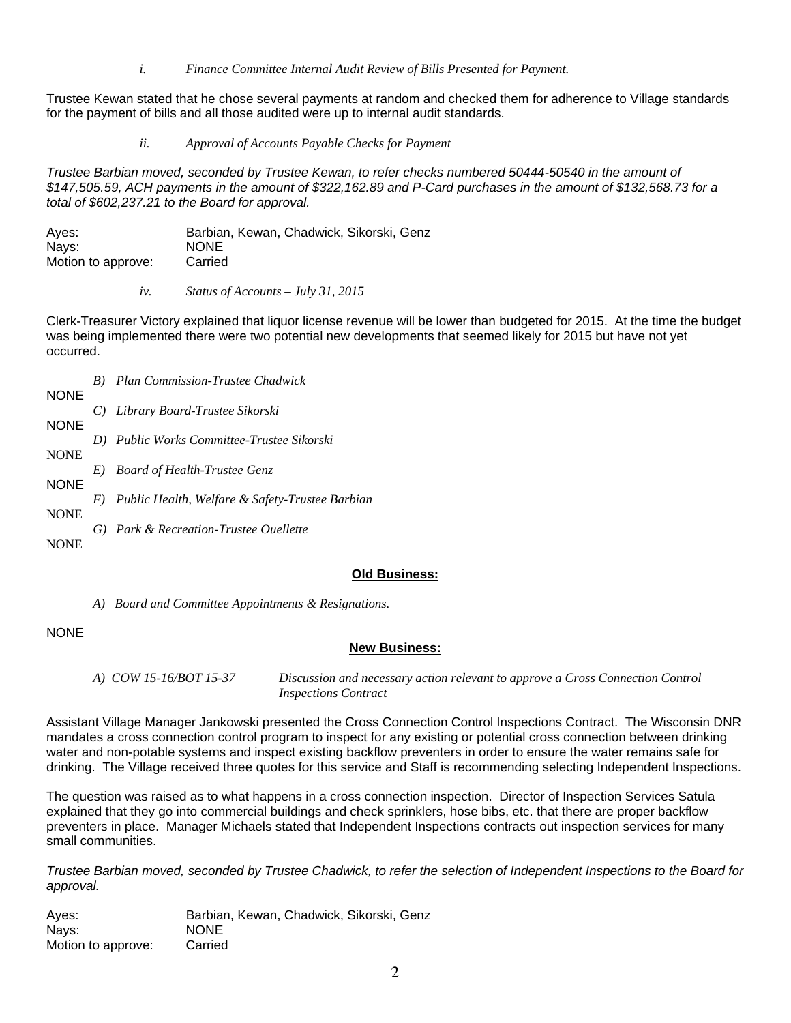*i. Finance Committee Internal Audit Review of Bills Presented for Payment.* 

Trustee Kewan stated that he chose several payments at random and checked them for adherence to Village standards for the payment of bills and all those audited were up to internal audit standards.

*ii. Approval of Accounts Payable Checks for Payment* 

*Trustee Barbian moved, seconded by Trustee Kewan, to refer checks numbered 50444-50540 in the amount of \$147,505.59, ACH payments in the amount of \$322,162.89 and P-Card purchases in the amount of \$132,568.73 for a total of \$602,237.21 to the Board for approval.* 

| Aves:              | Barbian, Kewan, Chadwick, Sikorski, Genz |
|--------------------|------------------------------------------|
| Nays:              | <b>NONE</b>                              |
| Motion to approve: | Carried                                  |

*iv. Status of Accounts – July 31, 2015* 

Clerk-Treasurer Victory explained that liquor license revenue will be lower than budgeted for 2015. At the time the budget was being implemented there were two potential new developments that seemed likely for 2015 but have not yet occurred.

|             |       | <b>B</b> ) Plan Commission-Trustee Chadwick     |
|-------------|-------|-------------------------------------------------|
| <b>NONE</b> |       |                                                 |
|             |       | C) Library Board-Trustee Sikorski               |
| <b>NONE</b> |       |                                                 |
|             |       | D) Public Works Committee-Trustee Sikorski      |
| <b>NONE</b> |       |                                                 |
|             | E)    | <b>Board of Health-Trustee Genz</b>             |
| <b>NONE</b> |       |                                                 |
|             | $F$ ) | Public Health, Welfare & Safety-Trustee Barbian |
| <b>NONE</b> |       |                                                 |
|             |       | G) Park & Recreation-Trustee Ouellette          |
| <b>NONE</b> |       |                                                 |

# **Old Business:**

*A) Board and Committee Appointments & Resignations.* 

# NONE

# **New Business:**

*A) COW 15-16/BOT 15-37 Discussion and necessary action relevant to approve a Cross Connection Control Inspections Contract* 

Assistant Village Manager Jankowski presented the Cross Connection Control Inspections Contract. The Wisconsin DNR mandates a cross connection control program to inspect for any existing or potential cross connection between drinking water and non-potable systems and inspect existing backflow preventers in order to ensure the water remains safe for drinking. The Village received three quotes for this service and Staff is recommending selecting Independent Inspections.

The question was raised as to what happens in a cross connection inspection. Director of Inspection Services Satula explained that they go into commercial buildings and check sprinklers, hose bibs, etc. that there are proper backflow preventers in place. Manager Michaels stated that Independent Inspections contracts out inspection services for many small communities.

*Trustee Barbian moved, seconded by Trustee Chadwick, to refer the selection of Independent Inspections to the Board for approval.* 

Ayes: Barbian, Kewan, Chadwick, Sikorski, Genz Nays: NONE Motion to approve: Carried